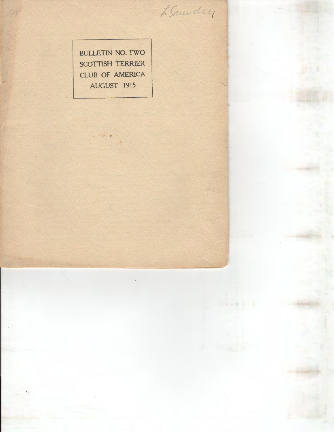BULLETIN NO. TWO SCOTTISH TERRIER CLUB OF AMERICA AUGUST 1915

LSamuelly

 $\begin{array}{l} \begin{array}{c} \begin{array}{c} \end{array} \\ \begin{array}{c} \end{array} \end{array} \end{array} \begin{array}{c} \begin{array}{c} \end{array} \end{array} \end{array}$ 

. .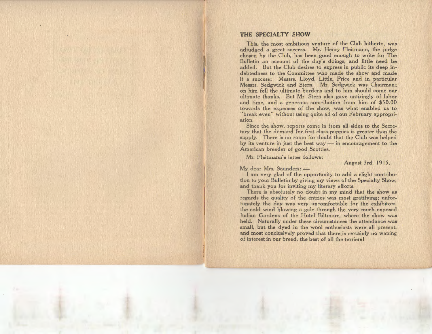## **THE SPECIALTY SHOW**

This, the most ambitious venture of the Club hitherto, was adjudged a great success. Mr. Henry Fleitmann, the judge chosen by the Club, has been good enough to write for The Bulletin an account of the day's doings, and little need be added. But the Club desires to express in public its deep indebtedness to the Committee who made the show and made it a success: Messrs. Lloyd, Little, Price and in particular Messrs. Sedgwick and Stern. Mr. Sedgwick was Chairman; on him fell the ultimate burdens and to him should come our ultimate thanks. But Mr. Stern also gave untiringly of labor and time, and a generous contribution from him of \$50.00 towards the expenses of the show, was what enabled us to "break even" without using quite all of our February appropriation.

Since the show, reports come in from all sides to the Secretary that the demand for first class puppies is greater than the supply. There is no room for doubt that the Club was helped by its venture in just the best way  $-$  in encouragement to the American breeder of good Scotties.

Mr. Fleitmann's letter follows:

August 3rd, 1915.

 $Mv$  dear Mrs. Saunders:  $-$ 

I am very glad of the opportunity to add a slight contribution to your Bulletin by giving my views of the Specialty Show, and thank you for inviting my literary efforts.

There is absolutely no doubt in my mind that the show as regards the quality of the entries was most gratifying; unfortunately the day was very uncomfortable for the exhibitors, the cold wind blowing a gale through the very much exposed Italian Gardens of the Hotel Biltmore, where the show was held. Naturally under these circumstances the attendance was small, but the dyed in the wool enthusiasts were all present, and most conclusively proved that there is certainly no waning of interest in our breed, the best of all the terriers I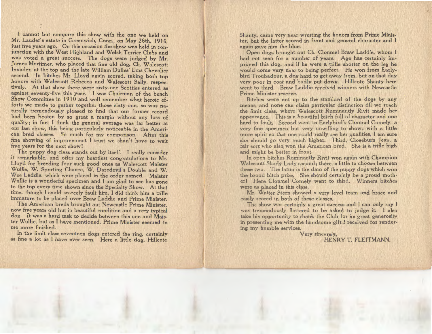cannot but compare this show with the one we held on Mr. Lauder's estate in Greenwich, Conn., on May 28th, 1910. just five years ago. On this occasion the show was held in conjunction with the West Highland and Welsh Terrier Clubs and was voted a great success. The dogs were judged by Mr. James Mortimer, who placed that fine old dog, Ch. Walescott Invader, at the top and the late William Dulles' Ems Chevalier second. In bitches Mr. Lloyd again scored, taking both top honors with Walescott Rebecca and Walescott Sally, respectively. At that show there were sixty-one Scotties entered as against seventy -five this year. I was Chairman of the bench Show Committee in 1910 and well remember what heroic efforts we made to gather together those sixty-one, so was naturally tremendously pleased to find that our former record had been beaten by so great a margin without any loss of quality; in fact I think the general average was far better at our last show, this being particularly noticeable in the American bred classes. So much for my comparison. After this fine showing of improvement I trust we shan't have to wait five years for the next show!

The puppy dog class stands out by itself. I really consider it remarkable, and offer my heartiest congratulations to Mr. Lloyd for breeding four such good ones as Walescott Maister W ullie, W. Sporting Chance, W. Daredevil's Double and W. Wee Laddie, which were placed in the order named. Maister Wullie is a wonderful specimen and I am glad to see has gone to the top every time shown since the Specialty Show. At that time, though I could scarcely fault him, I did think him a trifle immature to be placed over Braw Laddie and Prime Minister.

The American breds brought out Newcastle Prime Minister, now five years old but in beautiful condition and a very typical dog. It was a hard task to decide between this one and Maister Wullie, but as I have mentioned, Prime Minister seemed to me more finished.

In the limit class seventeen dogs entered the ring, certainly as fine a lot as I have ever seen. Here a little dog, Hillcote

Shanty, came very near wresting the honors from Prime Minister, but the latter scored in front and general character and I again gave him the blue.

Open dogs brought out Ch. Clonmel Braw Laddie, whom I had not seen for a number of years. Age has certainly improved this dog, and if he were a trifle shorter on the leg he would come very near to being perfect. He won from Earlybird I roubadour, a dog hard to get away from, but on that day very poor in coat and badly put down. Hillcote Shanty here went to third. Braw Laddie received winners with Newcastle Prime Minister reserve.

Bitches were not up to the standard of the dogs by any means, and none can claim particular distinction till we reach the limit class, where Walescott Ruminantly Rivit made her appearance. This is a beautiful bitch full of character and one hard to fault. Second went to Earlybird's Clonmel Comely, a very fine specimen but very unwilling to show ; with a little more spirit so that one could really see her qualities, I am sure she should go very much higher. Third, Closeburn Jean, a fair sort who also won the American bred. She is a trifle high and might be better in front.

In open bitches Ruminantly Rivit won again with Champion Walescott Shady Lady second; there is little to choose between these two. The latter is the dam of the puppy dogs which won the brood bitch prize. She should certainly be a proud mother! Here Clonmel Comely went to third. Winners bitches were as placed in this class.

Mr. Walter Stern showed a very level team and brace and easily scored in both of these classes.

The show was certainly a great success and I can only say I was tremendously flattered to be asked to judge it. I also take his opportunity to thank the Club for its great generosity in presenting me with the handsome gift I received for rendering my humble services.

> Very sincerely, HENRY I. FLEITMANN.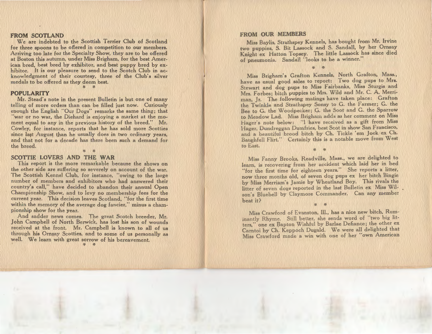# **FROM SCOTLAND**

 We are indebted to the Scottish Terrier Club of Scotland for three spoons to be offered in competition to our members. Arriving too late for the Specialty Show, they are to be offered at Boston this autumn, under Miss Brigham, for the best ican bred, best bred by exhibitor, and best puppy bred by hibitor. It is our pleasure to send to the Scotch Club in acknowledgment of their courtesy, three of the Club's silver medals to be offered as they deem best.



## **POPULARITY**

Mr. Stead's note in the present Bulletin is but one of many telling of more orders than can be filled just now. Curiously enough the English "Our Dogs" remarks the same thing; that "war or no war, the Diehard is enjoying a market at the moment equal to any in the previous history of the breed." Mr. Cowley, for instance, reports that he has sold more Scotties since last August than he usually does in two ordinary years, and that not for a decade has there been such a demand for the breed.

*:to :to* 

## **SCOTTIE LOVERS AND THE WAR**

This report is the more remarkable because the shows on the other side are suffering so severely on account of the war. The Scottish Kennel Club, for instance, "owing to the large number of members and exhibitors who had answered their country's call," have decided to abandon their annual Open Championship Show, and to levy no membership fees for the current year. This decision leaves Scotland, "for the first time within the memory of the average dog fancier," minus a championship show for the year.

And sadder news comes. The great Scotch breeder, Mr. John Campbell of North Berwick, has lost his son of wounds received at the front. Mr. Campbell is known to all of us through his Ornsay Scotties, and to some of us personally as well. We learn with great sorrow of his bereavement.

*:{. :to* 

#### **FROM OUR MEMBERS**

Miss Baylis, Strathspey Kennels, has bought from Mr. Irvine two puppies, S. Bit Lassock and S. Sandall, by her Ornsay Knight ex Hatton Topsey. The little Lassock has since died of pneumonia. Sandall "looks to be a winner."

'f. *:to* 

Miss Brigham's Grafton Kennels, North Grafton, Mass., have as usual good sales to report: I wo dog pups to Mrs. Stewart and dog pups to Miss Fairbanks, Miss Sturgis and Mrs. Forbes; bitch puppies to Mrs. Wild and Mr. C. A. Merriman, Jr. The following matings have taken place: Grafton the Twinkle and Strathspey Sonsy to G. the Farmer; G. the Bee to G. the Woodpecker; G. the Soot and G. the Sparrow to Meadow Lad. Miss Brigham adds as her comment on Miss Hager's note below: "I have received as a gift from Miss Hager, Dundreggan Dumfries, best Scot in show San Francisco, and a beautiful brood bitch by Ch. Tickle em Jock ex Cil. Baughfell Flirt." Certainly this is a notable move from West to East.

Miss Fanny Brooks, Readville, Mass., we are delighted to learn, is recovering from her accident which laid her in bed "for the first time for eighteen years." She reports a litter, now three months old, of seven dog pups ex her bitch Bingie by Miss Merriam's Jamie by Wheatland Boy. This rivals the litter of seven dogs reported in the last Bulletin ex Miss Wilson's Bluebell by Claymore Commander. Can any member beat it?

 $\frac{4}{3}$   $\frac{4}{3}$ 

Miss Crawford of Evanston, Ill., has a nice new bitch, Ruminantly Rhyme. Still better, she sends word of "two big litters," one ex Bapton Wishful by Barlae Defiance; the other ex Carntoi by Ch. Keppoch Dugald. We were all delighted that Miss Crawford made a win with one of her own American

*:to :to*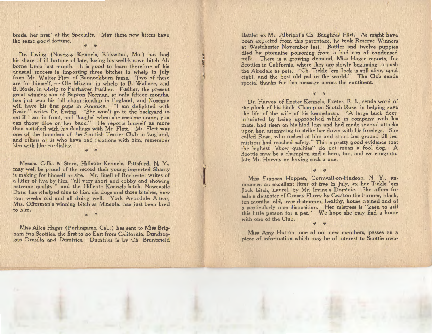breds, her first" at the Specialty. May these new litters have the same good fortune.

Dr. Ewing (Nosegay Kennels, Kirkwdod, Mo.) has had his share of ill fortune of late, losing his well-known bitch Alborne Unco last month. It is good to learn therefore of his unusual success in importing three bitches in whelp in July from Mr. Walter Flett of Bannockburn fame. Two of these are for himself, - Ole Mizzoo, in whelp to B. Wallace, and B. Rosie, in whelp to Fairhaven Fusilier. Fusilier, the present great winning son of Bapton Norman, at only fifteen months, has just won his full championship in England, and Nosegay will have his first pups in America. "I am delighted with Rosie," writes Dr. Ewing. "She won't go to the backyard to eat if I am in front, and 'laughs' when she sees me come; you can throw dice on her back." He reports himself as more than satisfied with his dealings with Mr. Flett. Mr. Flett was one of the founders of the Scottish Terrier Club in England, and others of us who have had relations with him, remember him with like cordiality. *:{. :{.* 

Messrs. Gillis & Stern, Hillcote Kennels, Pittsford, N. Y., may well be proud of the record their young imported Shanty is making for himself as sire. Mr. Buell of Rochester writes of a litter of five by him, "all very short and cobby and showing extreme quality;" and the Hillcote Kennels bitch, Newcastle Dare, has whelped nine to him. six dogs and three bitches, now four weeks old and all doing well. York Avondale Altcar, Mrs. Offerman's winning bitch at Mineola, has just been bred to him. · :{. :{.

Miss Alice Hager (Burlingame, Cal.,) has sent to Miss Brigham two Scotties, the first to go East from California, Dundreggan Drusilla and Dumfries. Dumfries is by Ch. Bruntsfield

Battler ex Mr. Albright's Ch. Baughfell Flirt. As might have been expected from this parentage, he took Reserve Winners at Westchester November last. Battler and twelve puppies died by ptomaine poisoning from a bad can of condensed milk. There is a growing demand, Miss Hager reports, for Scotties in California, where they are slowly beginning to push the Airedale as pets. "Ch. Tickle 'em Jock is still alive, aged eight, and the best old pal in the world." The Club sends special thanks for this message across the continent.

i

Dr. Harvey of Exeter Kennels, Exeter, R. 1., sends word of the pluck of his bitch, Champion Scotch Rose, in helping save the life of the wife of his kennelman. "A large buck deer, infuriated by being approached while in company with his mate, had risen on his hind legs and had made several attacks upon her, attempting to strike her down with his forelegs. She called Rose, who rushed at him and stood her ground till her mistress had reached safety." This is pretty good evidence that the highest "show qualities" do not mean a fool dog. A Scottie may be a champion and a hero, too, and we congratulate Mr. Harvey on having such a one.

 $x^2$ 

Miss Frances Hoppen, Cornwall-on-Hudson, N. Y., announces an excellent litter of five in July, ex her Tickle 'em Jock bitch, Laurel, by Mr. Irvine's Dominie. She offers for sale a daughter of Ornsay Flurry by Grafton the Farmer, black, ten months old, over distemper, healthy, house trained and of a particularly nice disposition. Her mistress is "keen to sell this little person for a pet." We hope she may find a home with one of the Club.

:{. *:{.* 

Miss Amy Hutton, one of our new members, passes on a piece of information which may be of interest to Scottie own-

:{. :{.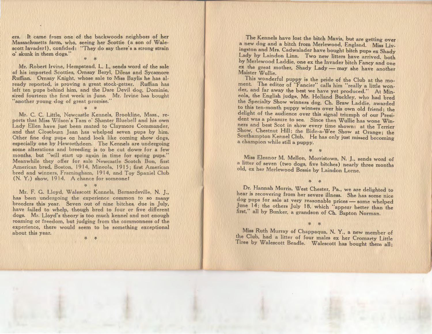ers. It came from one of the backwoods neighbors of her Massachusetts farm, who, seeing her Scottie {a son of Walescott Invader!), confided: "They do say there's a strong strain <sup>o</sup>' skunk in them dogs."

 $x^2 - x^2$ 

Mr. Robert Irvine, Hempstead, L. I., sends word of the sale of his imported Scotties, Ornsay Beryl, Dileas and Sycamore Ruffian. Ornsay Knight, whose sale to Miss Baylis he has already reported, is proving a great stock-getter. Ruffian has left ten pups behind him, and the Dare Devil dog, Dominie, sired fourteen the first week in June. Mr. Irvine has bought another young dog of great promise.

 $\frac{1}{2}$ 

Mr. C. C. Little, Newcastle Kennels, Brookline, Mass., reports that Miss Wilson's Tam o' Shanter Bluebell and his own Lady Ellen have just been mated to Claymore Commander, and that Closeburn Jean has whelped seven pups by him. Other fine dog pups on hand look like coming show dogs, especially one by Heworthdeen. The Kennels are undergoing some alterations and breeding is to be cut down for a few months, but "will start up again in time for spring pups." Meanwhile they offer for sale Newcastle Scotch Bon, first American bred, Boston, 1914, Mineola, 1915; first American bred and winners, Framingham, 1914, and Toy Spaniel Club (N. Y.) show, 1914. A chance for someone!

 $\mathcal{L}$  :  $\mathcal{L}$ 

Mr. F. G. Lloyd, Walescott Kennels, Bernardsville, N. J., has been undergoing the experience common to so many breeders this year. Seven out of nine bitches, due in July, have failed to whelp, though bred to four or five different dogs. Mr. Lloyd's theory is too much kennel and not enough roaming or freedom, but judging from the commonness of the experience, there would seem to be something exceptional about this year.

*:{. :r-*

The Kennels have lost the bitch Mavis, but are getting over a new dog and a bitch from Merlewood, England. Miss Liv- Lady by Laindon Linn. Two new litters have arrived, both<br>by Merlewood Laddie, one ex the Invader bitch Fancy and one<br>ex the great mother, Shady Lady — may she have another<br>Maister Wullie.<br>This wonderful puppy is the pride

ment. The editor of "Fancier" calls him "really a little won der, and far away the best we have yet produced." At Min the Specialty Show winners dog, Ch. Braw Laddie, awarded<br>to this ten-month puppy winners over his own old friend; the<br>delight of the audience over this signal triumph of our President was a pleasure to see. Since then Wullie has wone Win-<br>ners and best Scot in show every time shown: at the Terrier Show, Chestnut Hill; the Bide-a-Wee Show at Orange; the Southampton Kennel Club. He has only just missed becoming a champion while still a puppy.

Miss Eleanor M. Mellon, Morristown, N. J., sends word of a litter of seven (two dogs, five bitches) nearly three months old, ex her Merlewood Bessie by Laindon Lorne.

 $-36$ 

Dr. Hannah Morris, West Chester, Pa., we are delighted to<br>hear is recovering from her severe illness. She has some nice<br>dog pups for sale at very reasonable prices — some whelped<br>June 14: the others July 18, which "appear

 $x^*$ 

Miss Ruth Murray of Chappaqua, N. Y., a new member of the Club, had a litter of four males ex her Cromarty Little Tiree by Walescott Beadle. Walescott has bought them all;

:{. *:{.*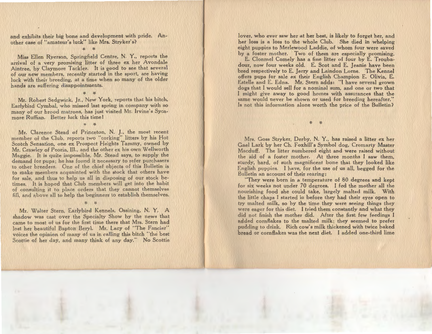and exhibits their big bone and development with pride. Another case of "amateur's luck" like Mrs. Stryker's?  $\cdot$   $\cdot$ 

Miss Ellen Ryerson, Springfield Centre, N. Y., reports the arrival of a very promising litter of three ex her Avondale Aintree, by Claymore Tackler. It is good to see that several of our new members, recently started in the sport, are having luck with their breeding, at a time when so many of the older hands are suffering disappointments.

Mr. Robert Sedgwick, Jr., New York, reports that his bitch, Earlybird Cymbal, who missed last spring in company with so many of our brood matrons, has just visited Mr. Irvine's Sycamore Ruffian. Better luck this time I

*:{.* :{.

:{. :{.

Mr. Clarence Stead of Princeton, N. *].,* the most recent member of the Club, reports two "corking" litters by his Hot Scotch Sensation, one ex Prospect Heights Tammy, owned by Mr. Crawley of Peoria, Ill., and the other ex his own Wellworth Maggie. It is quite impossible, Mr. Stead says, to supply the demand for pups; he has found it necessary to refer purchasers to other breeders. One of the chief objects of this Bulletin is to make members acquainted with the stock that others have for sale, and thus to help us all in disposing of our stock betimes. It is hoped that Club members will get into the habit of consulting it to place orders that they cannot themselves fill, and above all to help the beginners to establish themselves.

Mr. Walter Stern, Earlybird Kennels, Ossining, N. Y. A shadow was cast over the Specialty Show by the news that came to most of us for the first time there that Mrs. Stern had lost her beautiful Bapton Beryl. Mr. Lacy of "The Fancier" voices the opinion of many of us in calling this bitch "the best Scottie of her day, and many think of any day." No Scottie

:{. *:{.* 

lover, who ever saw her at her best, is likely to forget her, and her loss is a loss to the whole Club. She died in whelping eight puppies to Merlewood Laddie, of whom four were saved by a foster mother. Two of them are especially promising.

E. Clonmel Comely has a fine litter of four by E. Troubadour, now four weeks old. E. Scot and E. Jeanie have been bred respectively to E. Jerry and Laindon Lorne. The Kennel offers pups for sale ex their English Champion E. Olivia, E. Estelle and E. Edna. Mr. Stern adds: "I have several grown dogs that I would sell for a nominal sum, and one or two that I might give away to good homes with assurances that the same would never be shown or used for breeding hereafter." Is not this information alone worth the price of the Bulletin?

Mrs. Goss Stryker, Derby, N. Y., has raised a litter ex her Gael Lark by her Ch. Foxhill's Symbol dog, Cromarty Master Macduff. The litter numbered eight and were raised without the aid of a foster mother. At three months I saw them, sturdy, hard, of such magnificent bone that they looked like English puppies. I have, for the use of us all, begged for the Bulletin an account of their rearing:

 $\cdot$   $\cdot$ 

"They were born in a temperature of 80 degrees and kept for six weeks not under 70 degrees. I fed the mother all the nourishing food she could take, largely malted milk. With the little chaps I started in before they had their eyes open to try malted milk, so by the time they were seeing things they were eager for this diet. I tried them constantly and what they did not finish the mother did. After the first few feedings I added cornflakes to the malted milk; they seemed to prefer pudding to drink. Rich cow's milk thickened with twice baked hrend or cornflakes was the next diet. I added one-third lime